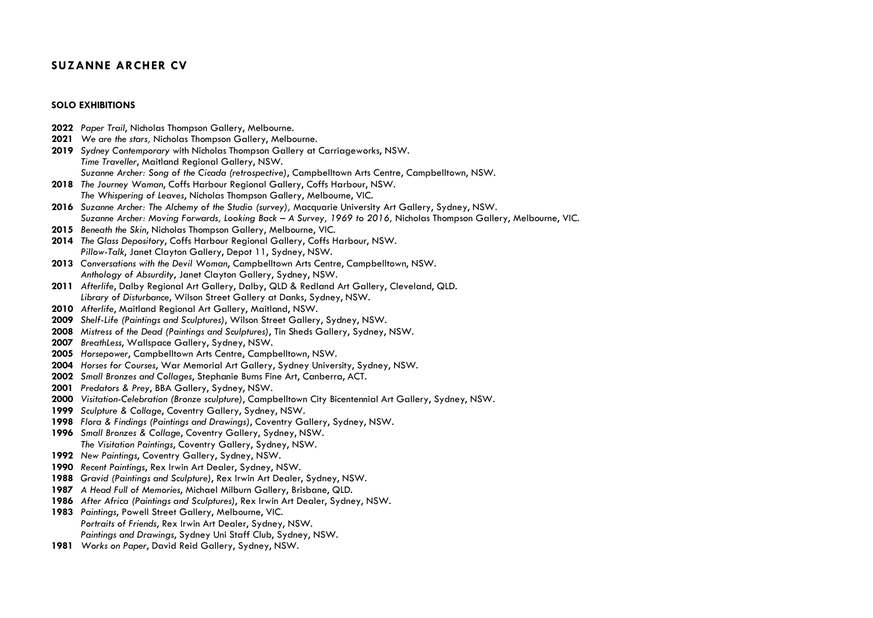# **SUZANNE ARCHER CV**

#### **SOLO EXHIBITIONS**

- *Paper Trail*, Nicholas Thompson Gallery, Melbourne. *We are the stars,* Nicholas Thompson Gallery, Melbourne. *Sydney Contemporary* with Nicholas Thompson Gallery at Carriageworks, NSW. *Time Traveller*, Maitland Regional Gallery, NSW. *Suzanne Archer: Song of the Cicada (retrospective)*, Campbelltown Arts Centre, Campbelltown, NSW. *The Journey Woman*, Coffs Harbour Regional Gallery, Coffs Harbour, NSW. *The Whispering of Leaves*, Nicholas Thompson Gallery, Melbourne, VIC. *Suzanne Archer: The Alchemy of the Studio (survey),* Macquarie University Art Gallery, Sydney, NSW. *Suzanne Archer: Moving Forwards, Looking Back – A Survey, 1969 to 2016,* Nicholas Thompson Gallery, Melbourne, VIC. *Beneath the Skin*, Nicholas Thompson Gallery, Melbourne, VIC. *The Glass Depository*, Coffs Harbour Regional Gallery, Coffs Harbour, NSW. *Pillow-Talk*, Janet Clayton Gallery, Depot 11, Sydney, NSW. *Conversations with the Devil Woman*, Campbelltown Arts Centre, Campbelltown, NSW. *Anthology of Absurdity*, Janet Clayton Gallery, Sydney, NSW. *Afterlife*, Dalby Regional Art Gallery, Dalby, QLD & Redland Art Gallery, Cleveland, QLD. *Library of Disturbance*, Wilson Street Gallery at Danks, Sydney, NSW. *Afterlife*, Maitland Regional Art Gallery, Maitland, NSW. *Shelf-Life (Paintings and Sculptures)*, Wilson Street Gallery, Sydney, NSW. *Mistress of the Dead (Paintings and Sculptures)*, Tin Sheds Gallery, Sydney, NSW. *BreathLess*, Wallspace Gallery, Sydney, NSW. *Horsepower*, Campbelltown Arts Centre, Campbelltown, NSW. *Horses for Courses*, War Memorial Art Gallery, Sydney University, Sydney, NSW. *Small Bronzes and Collages*, Stephanie Burns Fine Art, Canberra, ACT. *Predators & Prey*, BBA Gallery, Sydney, NSW. *Visitation-Celebration (Bronze sculpture)*, Campbelltown City Bicentennial Art Gallery, Sydney, NSW. *Sculpture & Collage*, Coventry Gallery, Sydney, NSW. *Flora & Findings (Paintings and Drawings)*, Coventry Gallery, Sydney, NSW. *Small Bronzes & Collage*, Coventry Gallery, Sydney, NSW. *The Visitation Paintings*, Coventry Gallery, Sydney, NSW. *New Paintings*, Coventry Gallery, Sydney, NSW. *Recent Paintings*, Rex Irwin Art Dealer, Sydney, NSW. *Gravid (Paintings and Sculpture)*, Rex Irwin Art Dealer, Sydney, NSW. *A Head Full of Memories*, Michael Milburn Gallery, Brisbane, QLD. *After Africa (Paintings and Sculptures)*, Rex Irwin Art Dealer, Sydney, NSW. *Paintings*, Powell Street Gallery, Melbourne, VIC. *Portraits of Friends*, Rex Irwin Art Dealer, Sydney, NSW. *Paintings and Drawings*, Sydney Uni Staff Club, Sydney, NSW.
- *Works on Paper*, David Reid Gallery, Sydney, NSW.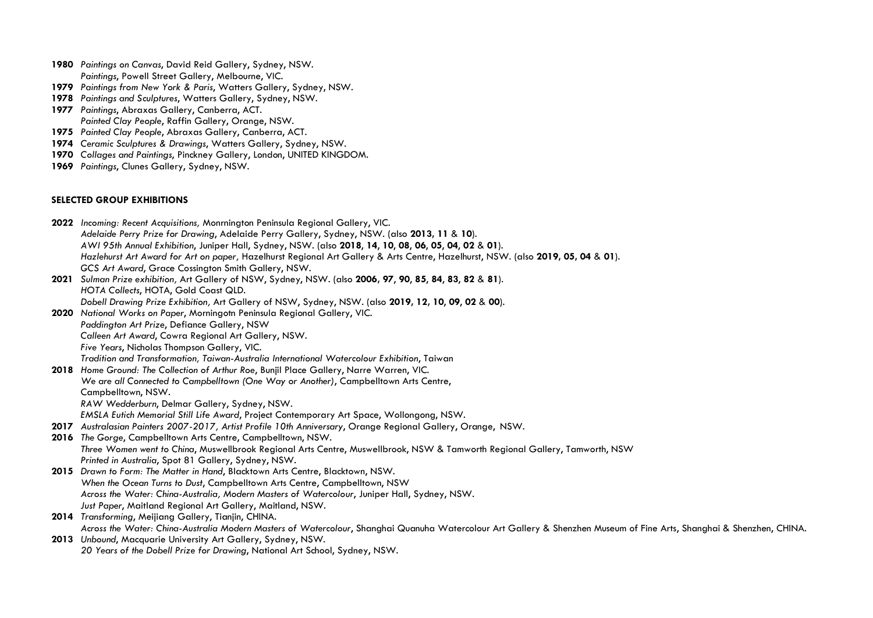- **1980** *Paintings on Canvas*, David Reid Gallery, Sydney, NSW. *Paintings*, Powell Street Gallery, Melbourne, VIC.
- **1979** *Paintings from New York & Paris*, Watters Gallery, Sydney, NSW.
- **1978** *Paintings and Sculptures*, Watters Gallery, Sydney, NSW.
- **1977** *Paintings*, Abraxas Gallery, Canberra, ACT. *Painted Clay People*, Raffin Gallery, Orange, NSW.
- **1975** *Painted Clay People*, Abraxas Gallery, Canberra, ACT.
- **1974** *Ceramic Sculptures & Drawings*, Watters Gallery, Sydney, NSW.
- **1970** *Collages and Paintings*, Pinckney Gallery, London, UNITED KINGDOM.
- **1969** *Paintings*, Clunes Gallery, Sydney, NSW.

### **SELECTED GROUP EXHIBITIONS**

**2022** *Incoming: Recent Acquisitions,* Monrnington Peninsula Regional Gallery, VIC. *Adelaide Perry Prize for Drawing*, Adelaide Perry Gallery, Sydney, NSW. (also **2013, 11** & **10**). *AWI 95th Annual Exhibition*, Juniper Hall, Sydney, NSW. (also **2018**, **14**, **10**, **08**, **06**, **05**, **04**, **02** & **01**). *Hazlehurst Art Award for Art on paper,* Hazelhurst Regional Art Gallery & Arts Centre, Hazelhurst, NSW. (also **2019, 05, 04** & **01**). *GCS Art Award*, Grace Cossington Smith Gallery, NSW. **2021** *Sulman Prize exhibition,* Art Gallery of NSW, Sydney, NSW. (also **2006, 97**, **90**, **85**, **84**, **83**, **82** & **81**). *HOTA Collects*, HOTA, Gold Coast QLD. *Dobell Drawing Prize Exhibition,* Art Gallery of NSW, Sydney, NSW. (also **2019, 12, 10**, **09**, **02** & **00**). **2020** *National Works on Paper*, Morningotn Peninsula Regional Gallery, VIC. *Paddington Art Prize*, Defiance Gallery, NSW *Calleen Art Award*, Cowra Regional Art Gallery, NSW. *Five Years*, Nicholas Thompson Gallery, VIC. *Tradition and Transformation, Taiwan-Australia International Watercolour Exhibition*, Taiwan **2018** *Home Ground: The Collection of Arthur Roe*, Bunjil Place Gallery, Narre Warren, VIC. *We are all Connected to Campbelltown (One Way or Another)*, Campbelltown Arts Centre, Campbelltown, NSW. *RAW Wedderburn*, Delmar Gallery, Sydney, NSW. *EMSLA Eutich Memorial Still Life Award*, Project Contemporary Art Space, Wollongong, NSW. **2017** *Australasian Painters 2007-2017, Artist Profile 10th Anniversary*, Orange Regional Gallery, Orange, NSW. **2016** *The Gorge*, Campbelltown Arts Centre, Campbelltown, NSW. *Three Women went to China*, Muswellbrook Regional Arts Centre, Muswellbrook, NSW & Tamworth Regional Gallery, Tamworth, NSW *Printed in Australia*, Spot 81 Gallery, Sydney, NSW. **2015** *Drawn to Form: The Matter in Hand*, Blacktown Arts Centre, Blacktown, NSW. *When the Ocean Turns to Dust*, Campbelltown Arts Centre, Campbelltown, NSW *Across the Water: China-Australia, Modern Masters of Watercolour*, Juniper Hall, Sydney, NSW. *Just Paper*, Maitland Regional Art Gallery, Maitland, NSW. **2014** *Transforming*, Meijiang Gallery, Tianjin, CHINA. *Across the Water: China-Australia Modern Masters of Watercolour*, Shanghai Quanuha Watercolour Art Gallery & Shenzhen Museum of Fine Arts, Shanghai & Shenzhen, CHINA. **2013** *Unbound*, Macquarie University Art Gallery, Sydney, NSW. *20 Years of the Dobell Prize for Drawing*, National Art School, Sydney, NSW.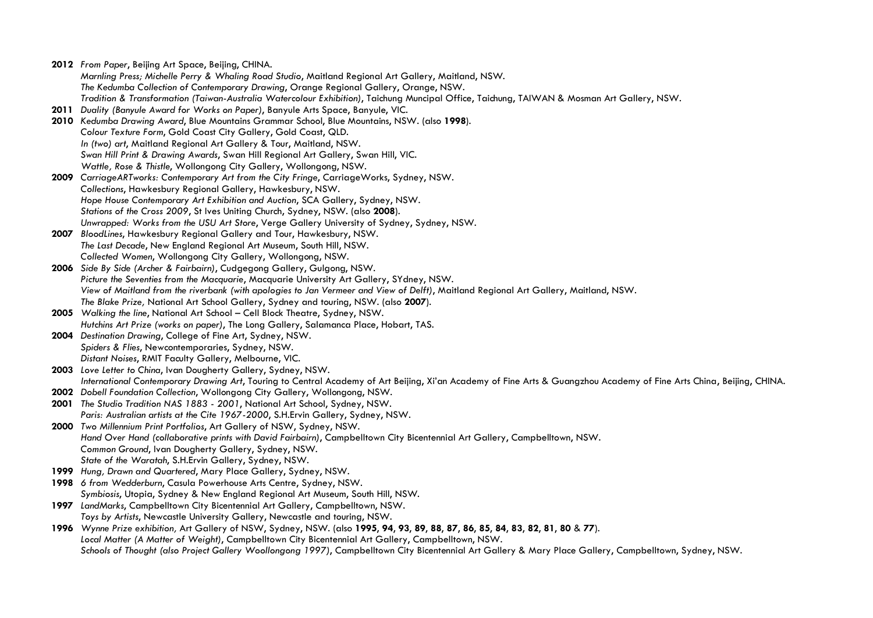**2012** *From Paper*, Beijing Art Space, Beijing, CHINA. *Marnling Press; Michelle Perry & Whaling Road Studio*, Maitland Regional Art Gallery, Maitland, NSW. *The Kedumba Collection of Contemporary Drawing*, Orange Regional Gallery, Orange, NSW. *Tradition & Transformation (Taiwan-Australia Watercolour Exhibition)*, Taichung Muncipal Office, Taichung, TAIWAN & Mosman Art Gallery, NSW. **2011** *Duality (Banyule Award for Works on Paper)*, Banyule Arts Space, Banyule, VIC. **2010** *Kedumba Drawing Award*, Blue Mountains Grammar School, Blue Mountains, NSW. (also **1998**). *Colour Texture Form*, Gold Coast City Gallery, Gold Coast, QLD. *In (two) art*, Maitland Regional Art Gallery & Tour, Maitland, NSW. *Swan Hill Print & Drawing Awards*, Swan Hill Regional Art Gallery, Swan Hill, VIC. *Wattle, Rose & Thistle*, Wollongong City Gallery, Wollongong, NSW. **2009** *CarriageARTworks: Contemporary Art from the City Fringe*, CarriageWorks, Sydney, NSW. *Collections*, Hawkesbury Regional Gallery, Hawkesbury, NSW. *Hope House Contemporary Art Exhibition and Auction*, SCA Gallery, Sydney, NSW. *Stations of the Cross 2009*, St Ives Uniting Church, Sydney, NSW. (also **2008**). *Unwrapped: Works from the USU Art Store*, Verge Gallery University of Sydney, Sydney, NSW. **2007** *BloodLines*, Hawkesbury Regional Gallery and Tour, Hawkesbury, NSW. *The Last Decade*, New England Regional Art Museum, South Hill, NSW. *Collected Women*, Wollongong City Gallery, Wollongong, NSW. **2006** *Side By Side (Archer & Fairbairn)*, Cudgegong Gallery, Gulgong, NSW. *Picture the Seventies from the Macquarie*, Macquarie University Art Gallery, SYdney, NSW. *View of Maitland from the riverbank (with apologies to Jan Vermeer and View of Delft)*, Maitland Regional Art Gallery, Maitland, NSW. *The Blake Prize,* National Art School Gallery, Sydney and touring, NSW. (also **2007**). **2005** *Walking the line*, National Art School – Cell Block Theatre, Sydney, NSW. *Hutchins Art Prize (works on paper)*, The Long Gallery, Salamanca Place, Hobart, TAS. **2004** *Destination Drawing*, College of Fine Art, Sydney, NSW. *Spiders & Flies*, Newcontemporaries, Sydney, NSW. *Distant Noises*, RMIT Faculty Gallery, Melbourne, VIC. **2003** *Love Letter to China*, Ivan Dougherty Gallery, Sydney, NSW. *International Contemporary Drawing Art*, Touring to Central Academy of Art Beijing, Xi'an Academy of Fine Arts & Guangzhou Academy of Fine Arts China, Beijing, CHINA. **2002** *Dobell Foundation Collection*, Wollongong City Gallery, Wollongong, NSW. **2001** *The Studio Tradition NAS 1883 - 2001*, National Art School, Sydney, NSW. *Paris: Australian artists at the Cite 1967-2000*, S.H.Ervin Gallery, Sydney, NSW. **2000** *Two Millennium Print Portfolios*, Art Gallery of NSW, Sydney, NSW. *Hand Over Hand (collaborative prints with David Fairbairn)*, Campbelltown City Bicentennial Art Gallery, Campbelltown, NSW. *Common Ground*, Ivan Dougherty Gallery, Sydney, NSW. *State of the Waratah*, S.H.Ervin Gallery, Sydney, NSW. **1999** *Hung, Drawn and Quartered*, Mary Place Gallery, Sydney, NSW. **1998** *6 from Wedderburn*, Casula Powerhouse Arts Centre, Sydney, NSW. *Symbiosis*, Utopia, Sydney & New England Regional Art Museum, South Hill, NSW. **1997** *LandMarks*, Campbelltown City Bicentennial Art Gallery, Campbelltown, NSW. *Toys by Artists*, Newcastle University Gallery, Newcastle and touring, NSW. 1996 Wynne Prize exhibition, Art Gallery of NSW, Sydney, NSW. (also 1995, 94, 93, 89, 88, 87, 86, 85, 84, 83, 82, 81, 80 & 77). *Local Matter (A Matter of Weight)*, Campbelltown City Bicentennial Art Gallery, Campbelltown, NSW. *Schools of Thought (also Project Gallery Woollongong 1997)*, Campbelltown City Bicentennial Art Gallery & Mary Place Gallery, Campbelltown, Sydney, NSW.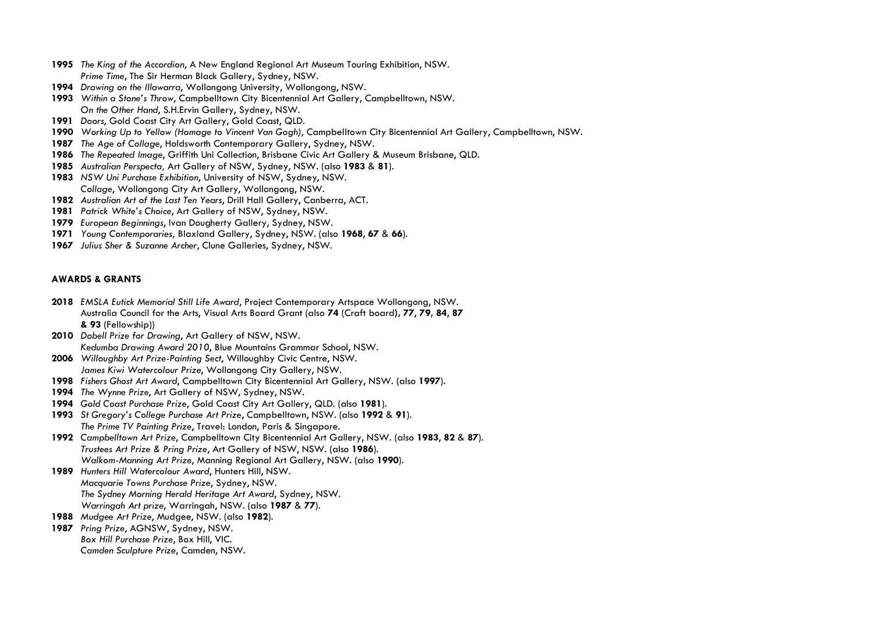- *The King of the Accordion*, A New England Regional Art Museum Touring Exhibition, NSW. *Prime Time*, The Sir Herman Black Gallery, Sydney, NSW.
- *Drawing on the Illawarra*, Wollongong University, Wollongong, NSW.
- *Within a Stone's Throw*, Campbelltown City Bicentennial Art Gallery, Campbelltown, NSW. *On the Other Hand*, S.H.Ervin Gallery, Sydney, NSW.
- *Doors*, Gold Coast City Art Gallery, Gold Coast, QLD.
- *Working Up to Yellow (Homage to Vincent Van Gogh)*, Campbelltown City Bicentennial Art Gallery, Campbelltown, NSW.
- *The Age of Collage*, Holdsworth Contemporary Gallery, Sydney, NSW.
- *The Repeated Image*, Griffith Uni Collection, Brisbane Civic Art Gallery & Museum Brisbane, QLD.
- *Australian Perspecta,* Art Gallery of NSW, Sydney, NSW. (also **1983** & **81**).
- *NSW Uni Purchase Exhibition*, University of NSW, Sydney, NSW. *Collage*, Wollongong City Art Gallery, Wollongong, NSW.
- *Australian Art of the Last Ten Years*, Drill Hall Gallery, Canberra, ACT.
- *Patrick White's Choice*, Art Gallery of NSW, Sydney, NSW.
- *European Beginnings*, Ivan Dougherty Gallery, Sydney, NSW.
- *Young Contemporaries,* Blaxland Gallery, Sydney, NSW. (also **1968**, **67** & **66**).
- *Julius Sher & Suzanne Archer*, Clune Galleries, Sydney, NSW.

### **AWARDS & GRANTS**

- *EMSLA Eutick Memorial Still Life Award*, Project Contemporary Artspace Wollongong, NSW. Australia Council for the Arts, Visual Arts Board Grant (also **74** (Craft board**), 77**, **79, 84**, **87 & 93** (Fellowship))
- *Dobell Prize for Drawing*, Art Gallery of NSW, NSW. *Kedumba Drawing Award 2010*, Blue Mountains Grammar School, NSW.
- *Willoughby Art Prize-Painting Sect*, Willoughby Civic Centre, NSW. *James Kiwi Watercolour Prize*, Wollongong City Gallery, NSW.
- *Fishers Ghost Art Award*, Campbelltown City Bicentennial Art Gallery, NSW. (also **1997**).
- *The Wynne Prize*, Art Gallery of NSW, Sydney, NSW.
- *Gold Coast Purchase Prize*, Gold Coast City Art Gallery, QLD. (also **1981**).
- *St Gregory's College Purchase Art Prize*, Campbelltown, NSW. (also **1992** & **91**). *The Prime TV Painting Prize*, Travel: London, Paris & Singapore.
- *Campbelltown Art Prize*, Campbelltown City Bicentennial Art Gallery, NSW. (also **1983**, **82** & **87**). *Trustees Art Prize & Pring Prize*, Art Gallery of NSW, NSW. (also **1986**). *Walkom-Manning Art Prize*, Manning Regional Art Gallery, NSW. (also **1990**).
- *Hunters Hill Watercolour Award*, Hunters Hill, NSW. *Macquarie Towns Purchase Prize*, Sydney, NSW. *The Sydney Morning Herald Heritage Art Award*, Sydney, NSW. *Warringah Art prize*, Warringah, NSW. (also **1987** & **77**).
- *Mudgee Art Prize*, Mudgee, NSW. (also **1982**).
- *Pring Prize*, AGNSW, Sydney, NSW. *Box Hill Purchase Prize*, Box Hill, VIC. *Camden Sculpture Prize*, Camden, NSW.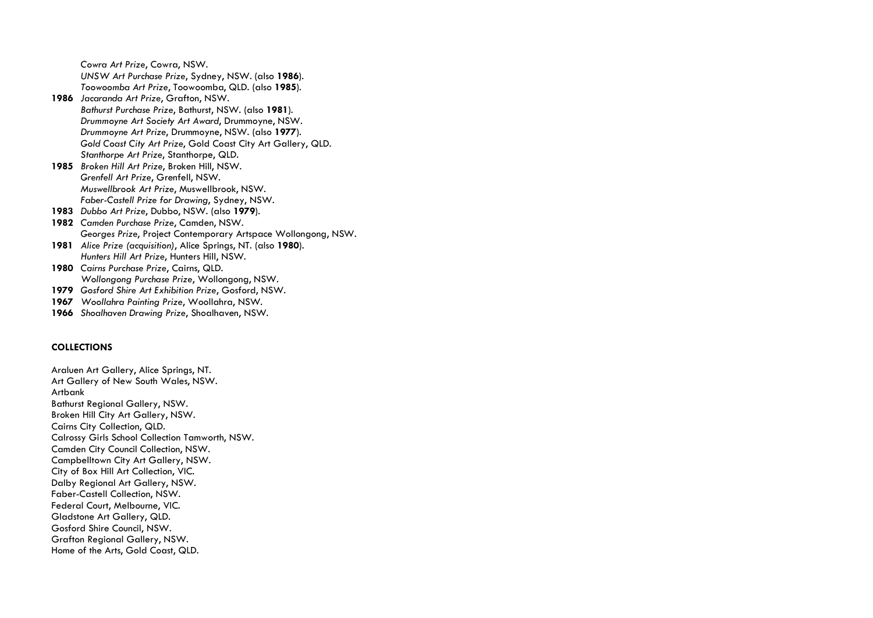*Cowra Art Prize*, Cowra, NSW. *UNSW Art Purchase Prize*, Sydney, NSW. (also **1986**). *Toowoomba Art Prize*, Toowoomba, QLD. (also **1985**). **1986** *Jacaranda Art Prize*, Grafton, NSW. *Bathurst Purchase Prize*, Bathurst, NSW. (also **1981**). *Drummoyne Art Society Art Award*, Drummoyne, NSW. *Drummoyne Art Prize*, Drummoyne, NSW. (also **1977**). *Gold Coast City Art Prize*, Gold Coast City Art Gallery, QLD. *Stanthorpe Art Prize*, Stanthorpe, QLD. **1985** *Broken Hill Art Prize*, Broken Hill, NSW. *Grenfell Art Prize*, Grenfell, NSW. *Muswellbrook Art Prize*, Muswellbrook, NSW. *Faber-Castell Prize for Drawing*, Sydney, NSW. **1983** *Dubbo Art Prize*, Dubbo, NSW. (also **1979**). **1982** *Camden Purchase Prize*, Camden, NSW. *Georges Prize*, Project Contemporary Artspace Wollongong, NSW. **1981** *Alice Prize (acquisition)*, Alice Springs, NT. (also **1980**). *Hunters Hill Art Prize*, Hunters Hill, NSW. **1980** *Cairns Purchase Prize*, Cairns, QLD. *Wollongong Purchase Prize*, Wollongong, NSW. **1979** *Gosford Shire Art Exhibition Prize*, Gosford, NSW. **1967** *Woollahra Painting Prize*, Woollahra, NSW. **1966** *Shoalhaven Drawing Prize*, Shoalhaven, NSW.

### **COLLECTIONS**

Araluen Art Gallery, Alice Springs, NT. Art Gallery of New South Wales, NSW. Artbank Bathurst Regional Gallery, NSW. Broken Hill City Art Gallery, NSW. Cairns City Collection, QLD. Calrossy Girls School Collection Tamworth, NSW. Camden City Council Collection, NSW. Campbelltown City Art Gallery, NSW. City of Box Hill Art Collection, VIC. Dalby Regional Art Gallery, NSW. Faber-Castell Collection, NSW. Federal Court, Melbourne, VIC. Gladstone Art Gallery, QLD. Gosford Shire Council, NSW. Grafton Regional Gallery, NSW. Home of the Arts, Gold Coast, QLD.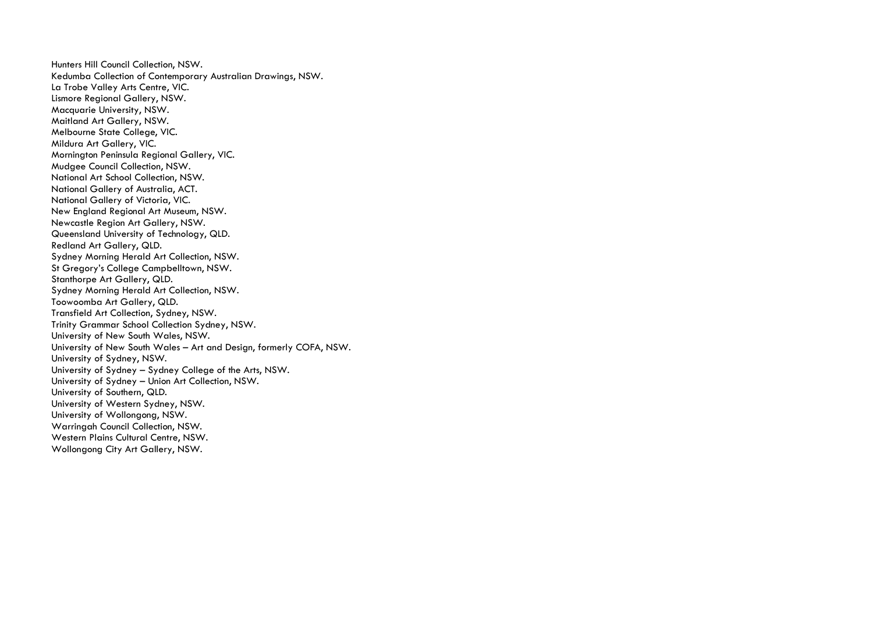Hunters Hill Council Collection, NSW. Kedumba Collection of Contemporary Australian Drawings, NSW. La Trobe Valley Arts Centre, VIC. Lismore Regional Gallery, NSW. Macquarie University, NSW. Maitland Art Gallery, NSW. Melbourne State College, VIC. Mildura Art Gallery, VIC. Mornington Peninsula Regional Gallery, VIC. Mudgee Council Collection, NSW. National Art School Collection, NSW. National Gallery of Australia, ACT. National Gallery of Victoria, VIC. New England Regional Art Museum, NSW. Newcastle Region Art Gallery, NSW. Queensland University of Technology, QLD. Redland Art Gallery, QLD. Sydney Morning Herald Art Collection, NSW. St Gregory's College Campbelltown, NSW. Stanthorpe Art Gallery, QLD. Sydney Morning Herald Art Collection, NSW. Toowoomba Art Gallery, QLD. Transfield Art Collection, Sydney, NSW. Trinity Grammar School Collection Sydney, NSW. University of New South Wales, NSW. University of New South Wales – Art and Design, formerly COFA, NSW. University of Sydney, NSW. University of Sydney – Sydney College of the Arts, NSW. University of Sydney – Union Art Collection, NSW. University of Southern, QLD. University of Western Sydney, NSW. University of Wollongong, NSW. Warringah Council Collection, NSW. Western Plains Cultural Centre, NSW. Wollongong City Art Gallery, NSW.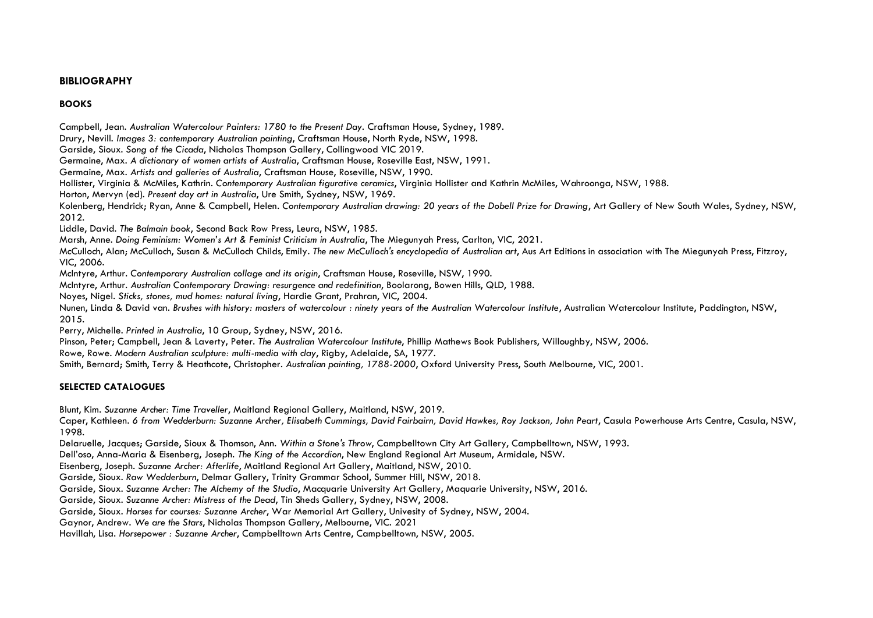## **BIBLIOGRAPHY**

# **BOOKS**

Campbell, Jean. *Australian Watercolour Painters: 1780 to the Present Day.* Craftsman House, Sydney, 1989.

Drury, Nevill. *Images 3: contemporary Australian painting*, Craftsman House, North Ryde, NSW, 1998.

Garside, Sioux. *Song of the Cicada*, Nicholas Thompson Gallery, Collingwood VIC 2019.

Germaine, Max. *A dictionary of women artists of Australia*, Craftsman House, Roseville East, NSW, 1991.

Germaine, Max. *Artists and galleries of Australia*, Craftsman House, Roseville, NSW, 1990.

Hollister, Virginia & McMiles, Kathrin. *Contemporary Australian figurative ceramics*, Virginia Hollister and Kathrin McMiles, Wahroonga, NSW, 1988.

Horton, Mervyn (ed). *Present day art in Australia*, Ure Smith, Sydney, NSW, 1969.

Kolenberg, Hendrick; Ryan, Anne & Campbell, Helen. *Contemporary Australian drawing: 20 years of the Dobell Prize for Drawing*, Art Gallery of New South Wales, Sydney, NSW, 2012.

Liddle, David. *The Balmain book*, Second Back Row Press, Leura, NSW, 1985.

Marsh, Anne. *Doing Feminism: Women's Art & Feminist Criticism in Australia*, The Miegunyah Press, Carlton, VIC, 2021.

McCulloch, Alan; McCulloch, Susan & McCulloch Childs, Emily. *The new McCulloch's encyclopedia of Australian art*, Aus Art Editions in association with The Miegunyah Press, Fitzroy, VIC, 2006.

McIntyre, Arthur. *Contemporary Australian collage and its origin*, Craftsman House, Roseville, NSW, 1990.

McIntyre, Arthur. *Australian Contemporary Drawing: resurgence and redefinition*, Boolarong, Bowen Hills, QLD, 1988.

Noyes, Nigel. *Sticks, stones, mud homes: natural living*, Hardie Grant, Prahran, VIC, 2004.

Nunen, Linda & David van. *Brushes with history: masters of watercolour : ninety years of the Australian Watercolour Institute*, Australian Watercolour Institute, Paddington, NSW, 2015.

Perry, Michelle. *Printed in Australia*, 10 Group, Sydney, NSW, 2016.

Pinson, Peter; Campbell, Jean & Laverty, Peter. *The Australian Watercolour Institute*, Phillip Mathews Book Publishers, Willoughby, NSW, 2006.

Rowe, Rowe. *Modern Australian sculpture: multi-media with clay*, Rigby, Adelaide, SA, 1977.

Smith, Bernard; Smith, Terry & Heathcote, Christopher. *Australian painting, 1788-2000*, Oxford University Press, South Melbourne, VIC, 2001.

# **SELECTED CATALOGUES**

Blunt, Kim. *Suzanne Archer: Time Traveller*, Maitland Regional Gallery, Maitland, NSW, 2019.

Caper, Kathleen. *6 from Wedderburn: Suzanne Archer, Elisabeth Cummings, David Fairbairn, David Hawkes, Roy Jackson, John Peart*, Casula Powerhouse Arts Centre, Casula, NSW, 1998.

Delaruelle, Jacques; Garside, Sioux & Thomson, Ann. *Within a Stone's Throw*, Campbelltown City Art Gallery, Campbelltown, NSW, 1993.

Dell'oso, Anna-Maria & Eisenberg, Joseph. *The King of the Accordion*, New England Regional Art Museum, Armidale, NSW.

Eisenberg, Joseph. *Suzanne Archer: Afterlife*, Maitland Regional Art Gallery, Maitland, NSW, 2010.

Garside, Sioux. *Raw Wedderburn*, Delmar Gallery, Trinity Grammar School, Summer Hill, NSW, 2018.

Garside, Sioux. *Suzanne Archer: The Alchemy of the Studio*, Macquarie University Art Gallery, Maquarie University, NSW, 2016.

Garside, Sioux. *Suzanne Archer: Mistress of the Dead*, Tin Sheds Gallery, Sydney, NSW, 2008.

Garside, Sioux. *Horses for courses: Suzanne Archer*, War Memorial Art Gallery, Univesity of Sydney, NSW, 2004.

Gaynor, Andrew. *We are the Stars*, Nicholas Thompson Gallery, Melbourne, VIC. 2021

Havillah, Lisa. *Horsepower : Suzanne Archer*, Campbelltown Arts Centre, Campbelltown, NSW, 2005.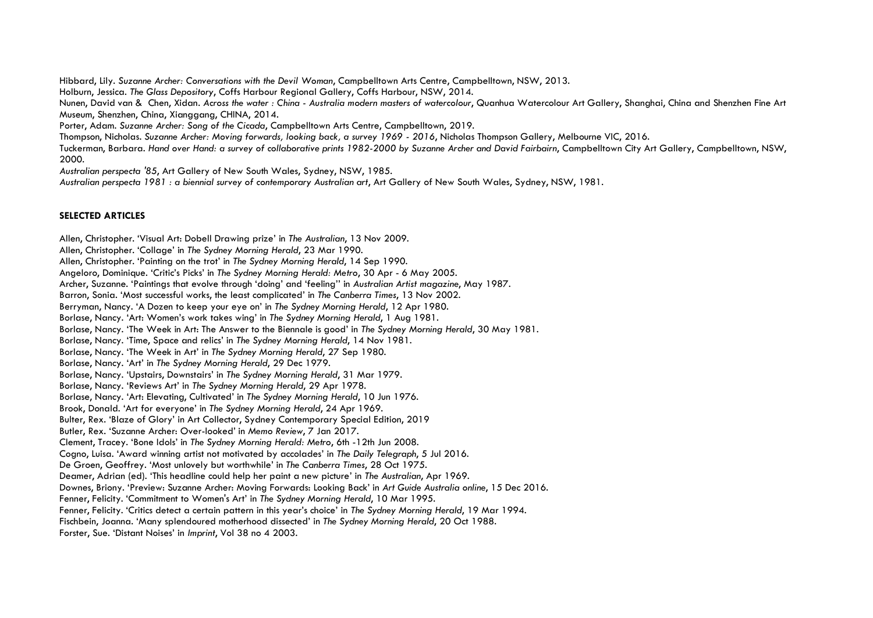Hibbard, Lily. *Suzanne Archer: Conversations with the Devil Woman*, Campbelltown Arts Centre, Campbelltown, NSW, 2013. Holburn, Jessica. *The Glass Depository*, Coffs Harbour Regional Gallery, Coffs Harbour, NSW, 2014. Nunen, David van & Chen, Xidan. *Across the water : China - Australia modern masters of watercolour*, Quanhua Watercolour Art Gallery, Shanghai, China and Shenzhen Fine Art Museum, Shenzhen, China, Xianggang, CHINA, 2014. Porter, Adam. *Suzanne Archer: Song of the Cicada*, Campbelltown Arts Centre, Campbelltown, 2019. Thompson, Nicholas. *Suzanne Archer: Moving forwards, looking back, a survey 1969 - 2016*, Nicholas Thompson Gallery, Melbourne VIC, 2016. Tuckerman, Barbara. *Hand over Hand: a survey of collaborative prints 1982-2000 by Suzanne Archer and David Fairbairn*, Campbelltown City Art Gallery, Campbelltown, NSW, 2000.

*Australian perspecta '85*, Art Gallery of New South Wales, Sydney, NSW, 1985.

*Australian perspecta 1981 : a biennial survey of contemporary Australian art*, Art Gallery of New South Wales, Sydney, NSW, 1981.

#### **SELECTED ARTICLES**

Allen, Christopher. 'Visual Art: Dobell Drawing prize' in *The Australian*, 13 Nov 2009. Allen, Christopher. 'Collage' in *The Sydney Morning Herald*, 23 Mar 1990. Allen, Christopher. 'Painting on the trot' in *The Sydney Morning Herald*, 14 Sep 1990. Angeloro, Dominique. 'Critic's Picks' in *The Sydney Morning Herald: Metro*, 30 Apr - 6 May 2005. Archer, Suzanne. 'Paintings that evolve through 'doing' and 'feeling'' in *Australian Artist magazine*, May 1987. Barron, Sonia. 'Most successful works, the least complicated' in *The Canberra Times*, 13 Nov 2002. Berryman, Nancy. 'A Dozen to keep your eye on' in *The Sydney Morning Herald*, 12 Apr 1980. Borlase, Nancy. 'Art: Women's work takes wing' in *The Sydney Morning Herald*, 1 Aug 1981. Borlase, Nancy. 'The Week in Art: The Answer to the Biennale is good' in *The Sydney Morning Herald*, 30 May 1981. Borlase, Nancy. 'Time, Space and relics' in *The Sydney Morning Herald*, 14 Nov 1981. Borlase, Nancy. 'The Week in Art' in *The Sydney Morning Herald*, 27 Sep 1980. Borlase, Nancy. 'Art' in *The Sydney Morning Herald*, 29 Dec 1979. Borlase, Nancy. 'Upstairs, Downstairs' in *The Sydney Morning Herald*, 31 Mar 1979. Borlase, Nancy. 'Reviews Art' in *The Sydney Morning Herald*, 29 Apr 1978. Borlase, Nancy. 'Art: Elevating, Cultivated' in *The Sydney Morning Herald*, 10 Jun 1976. Brook, Donald. 'Art for everyone' in *The Sydney Morning Herald*, 24 Apr 1969. Bulter, Rex. 'Blaze of Glory' in Art Collector, Sydney Contemporary Special Edition, 2019 Butler, Rex. 'Suzanne Archer: Over-looked' in *Memo Review*, 7 Jan 2017. Clement, Tracey. 'Bone Idols' in *The Sydney Morning Herald: Metro*, 6th -12th Jun 2008. Cogno, Luisa. 'Award winning artist not motivated by accolades' in *The Daily Telegraph*, 5 Jul 2016. De Groen, Geoffrey. 'Most unlovely but worthwhile' in *The Canberra Times*, 28 Oct 1975. Deamer, Adrian (ed). 'This headline could help her paint a new picture' in *The Australian*, Apr 1969. Downes, Briony. 'Preview: Suzanne Archer: Moving Forwards: Looking Back' in *Art Guide Australia online*, 15 Dec 2016. Fenner, Felicity. 'Commitment to Women's Art' in *The Sydney Morning Herald*, 10 Mar 1995. Fenner, Felicity. 'Critics detect a certain pattern in this year's choice' in *The Sydney Morning Herald*, 19 Mar 1994. Fischbein, Joanna. 'Many splendoured motherhood dissected' in *The Sydney Morning Herald*, 20 Oct 1988. Forster, Sue. 'Distant Noises' in *Imprint*, Vol 38 no 4 2003.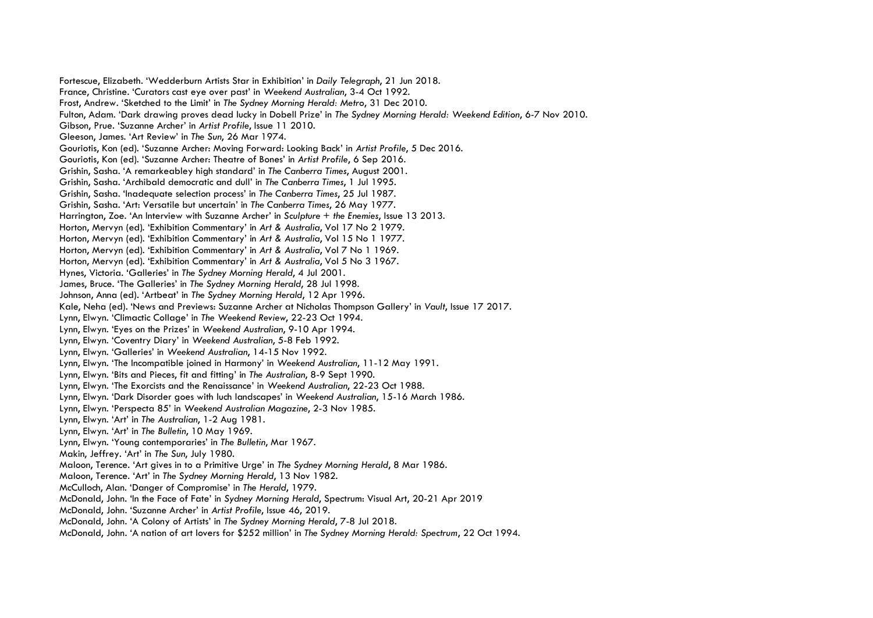Fortescue, Elizabeth. 'Wedderburn Artists Star in Exhibition' in *Daily Telegraph*, 21 Jun 2018. France, Christine. 'Curators cast eye over past' in *Weekend Australian*, 3-4 Oct 1992. Frost, Andrew. 'Sketched to the Limit' in *The Sydney Morning Herald: Metro*, 31 Dec 2010. Fulton, Adam. 'Dark drawing proves dead lucky in Dobell Prize' in *The Sydney Morning Herald: Weekend Edition*, 6-7 Nov 2010. Gibson, Prue. 'Suzanne Archer' in *Artist Profile*, Issue 11 2010. Gleeson, James. 'Art Review' in *The Sun*, 26 Mar 1974. Gouriotis, Kon (ed). 'Suzanne Archer: Moving Forward: Looking Back' in *Artist Profile*, 5 Dec 2016. Gouriotis, Kon (ed). 'Suzanne Archer: Theatre of Bones' in *Artist Profile*, 6 Sep 2016. Grishin, Sasha. 'A remarkeabley high standard' in *The Canberra Times*, August 2001. Grishin, Sasha. 'Archibald democratic and dull' in *The Canberra Times*, 1 Jul 1995. Grishin, Sasha. 'Inadequate selection process' in *The Canberra Times*, 25 Jul 1987. Grishin, Sasha. 'Art: Versatile but uncertain' in *The Canberra Times*, 26 May 1977. Harrington, Zoe. 'An Interview with Suzanne Archer' in *Sculpture + the Enemies*, Issue 13 2013. Horton, Mervyn (ed). 'Exhibition Commentary' in *Art & Australia*, Vol 17 No 2 1979. Horton, Mervyn (ed). 'Exhibition Commentary' in *Art & Australia*, Vol 15 No 1 1977. Horton, Mervyn (ed). 'Exhibition Commentary' in *Art & Australia*, Vol 7 No 1 1969. Horton, Mervyn (ed). 'Exhibition Commentary' in *Art & Australia*, Vol 5 No 3 1967. Hynes, Victoria. 'Galleries' in *The Sydney Morning Herald*, 4 Jul 2001. James, Bruce. 'The Galleries' in *The Sydney Morning Herald*, 28 Jul 1998. Johnson, Anna (ed). 'Artbeat' in *The Sydney Morning Herald*, 12 Apr 1996. Kale, Neha (ed). 'News and Previews: Suzanne Archer at Nicholas Thompson Gallery' in *Vault*, Issue 17 2017. Lynn, Elwyn. 'Climactic Collage' in *The Weekend Review*, 22-23 Oct 1994. Lynn, Elwyn. 'Eyes on the Prizes' in *Weekend Australian*, 9-10 Apr 1994. Lynn, Elwyn. 'Coventry Diary' in *Weekend Australian*, 5-8 Feb 1992. Lynn, Elwyn. 'Galleries' in *Weekend Australian*, 14-15 Nov 1992. Lynn, Elwyn. 'The Incompatible joined in Harmony' in *Weekend Australian*, 11-12 May 1991. Lynn, Elwyn. 'Bits and Pieces, fit and fitting' in *The Australian*, 8-9 Sept 1990. Lynn, Elwyn. 'The Exorcists and the Renaissance' in *Weekend Australian*, 22-23 Oct 1988. Lynn, Elwyn. 'Dark Disorder goes with luch landscapes' in *Weekend Australian*, 15-16 March 1986. Lynn, Elwyn. 'Perspecta 85' in *Weekend Australian Magazine*, 2-3 Nov 1985. Lynn, Elwyn. 'Art' in *The Australian*, 1-2 Aug 1981. Lynn, Elwyn. 'Art' in *The Bulletin*, 10 May 1969. Lynn, Elwyn. 'Young contemporaries' in *The Bulletin*, Mar 1967. Makin, Jeffrey. 'Art' in *The Sun*, July 1980. Maloon, Terence. 'Art gives in to a Primitive Urge' in *The Sydney Morning Herald*, 8 Mar 1986. Maloon, Terence. 'Art' in *The Sydney Morning Herald*, 13 Nov 1982. McCulloch, Alan. 'Danger of Compromise' in *The Herald*, 1979. McDonald, John. 'In the Face of Fate' in *Sydney Morning Herald*, Spectrum: Visual Art, 20-21 Apr 2019 McDonald, John. 'Suzanne Archer' in *Artist Profile*, Issue 46, 2019. McDonald, John. 'A Colony of Artists' in *The Sydney Morning Herald*, 7-8 Jul 2018. McDonald, John. 'A nation of art lovers for \$252 million' in *The Sydney Morning Herald: Spectrum*, 22 Oct 1994.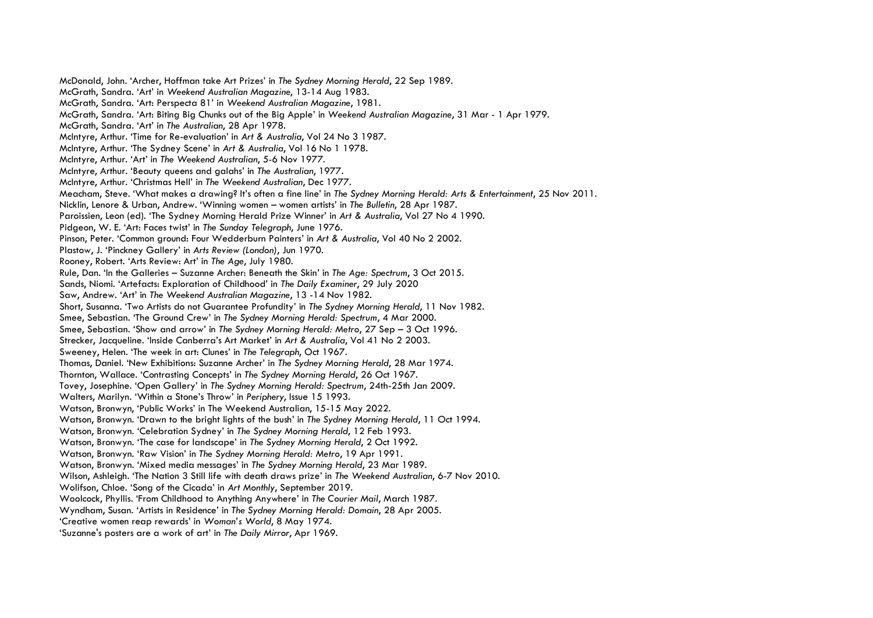McDonald, John. 'Archer, Hoffman take Art Prizes' in *The Sydney Morning Herald*, 22 Sep 1989. McGrath, Sandra. 'Art' in *Weekend Australian Magazine*, 13-14 Aug 1983. McGrath, Sandra. 'Art: Perspecta 81' in *Weekend Australian Magazine*, 1981. McGrath, Sandra. 'Art: Biting Big Chunks out of the Big Apple' in *Weekend Australian Magazine*, 31 Mar - 1 Apr 1979. McGrath, Sandra. 'Art' in *The Australian*, 28 Apr 1978. McIntyre, Arthur. 'Time for Re-evaluation' in *Art & Australia*, Vol 24 No 3 1987. McIntyre, Arthur. 'The Sydney Scene' in *Art & Australia*, Vol 16 No 1 1978. McIntyre, Arthur. 'Art' in *The Weekend Australian*, 5-6 Nov 1977. McIntyre, Arthur. 'Beauty queens and galahs' in *The Australian*, 1977. McIntyre, Arthur. 'Christmas Hell' in *The Weekend Australian*, Dec 1977. Meacham, Steve. 'What makes a drawing? It's often a fine line' in *The Sydney Morning Herald: Arts & Entertainment*, 25 Nov 2011. Nicklin, Lenore & Urban, Andrew. 'Winning women – women artists' in *The Bulletin*, 28 Apr 1987. Paroissien, Leon (ed). 'The Sydney Morning Herald Prize Winner' in *Art & Australia*, Vol 27 No 4 1990. Pidgeon, W. E. 'Art: Faces twist' in *The Sunday Telegraph*, June 1976. Pinson, Peter. 'Common ground: Four Wedderburn Painters' in *Art & Australia*, Vol 40 No 2 2002. Plastow, J. 'Pinckney Gallery' in *Arts Review (London)*, Jun 1970. Rooney, Robert. 'Arts Review: Art' in *The Age*, July 1980. Rule, Dan. 'In the Galleries – Suzanne Archer: Beneath the Skin' in *The Age: Spectrum*, 3 Oct 2015. Sands, Niomi. 'Artefacts: Exploration of Childhood' in *The Daily Examiner*, 29 July 2020 Saw, Andrew. 'Art' in *The Weekend Australian Magazine*, 13 -14 Nov 1982. Short, Susanna. 'Two Artists do not Guarantee Profundity' in *The Sydney Morning Herald*, 11 Nov 1982. Smee, Sebastian. 'The Ground Crew' in *The Sydney Morning Herald: Spectrum*, 4 Mar 2000. Smee, Sebastian. 'Show and arrow' in *The Sydney Morning Herald: Metro*, 27 Sep – 3 Oct 1996. Strecker, Jacqueline. 'Inside Canberra's Art Market' in *Art & Australia*, Vol 41 No 2 2003. Sweeney, Helen. 'The week in art: Clunes' in *The Telegraph*, Oct 1967. Thomas, Daniel. 'New Exhibitions: Suzanne Archer' in *The Sydney Morning Herald*, 28 Mar 1974. Thornton, Wallace. 'Contrasting Concepts' in *The Sydney Morning Herald*, 26 Oct 1967. Tovey, Josephine. 'Open Gallery' in *The Sydney Morning Herald: Spectrum*, 24th-25th Jan 2009. Walters, Marilyn. 'Within a Stone's Throw' in *Periphery*, Issue 15 1993. Watson, Bronwyn, 'Public Works' in The Weekend Australian, 15-15 May 2022. Watson, Bronwyn. 'Drawn to the bright lights of the bush' in *The Sydney Morning Herald*, 11 Oct 1994. Watson, Bronwyn. 'Celebration Sydney' in *The Sydney Morning Herald*, 12 Feb 1993. Watson, Bronwyn. 'The case for landscape' in *The Sydney Morning Herald*, 2 Oct 1992. Watson, Bronwyn. 'Raw Vision' in *The Sydney Morning Herald: Metro*, 19 Apr 1991. Watson, Bronwyn. 'Mixed media messages' in *The Sydney Morning Herald*, 23 Mar 1989. Wilson, Ashleigh. 'The Nation 3 Still life with death draws prize' in *The Weekend Australian*, 6-7 Nov 2010. Wolifson, Chloe. 'Song of the Cicada' in *Art Monthly*, September 2019. Woolcock, Phyllis. 'From Childhood to Anything Anywhere' in *The Courier Mail*, March 1987. Wyndham, Susan. 'Artists in Residence' in *The Sydney Morning Herald: Domain*, 28 Apr 2005. 'Creative women reap rewards' in *Woman's World*, 8 May 1974. 'Suzanne's posters are a work of art' in *The Daily Mirror*, Apr 1969.